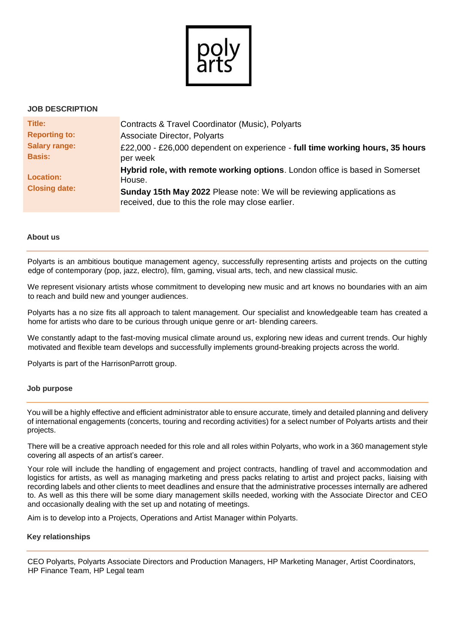

### **JOB DESCRIPTION**

| Title:                                   | Contracts & Travel Coordinator (Music), Polyarts                                                                            |
|------------------------------------------|-----------------------------------------------------------------------------------------------------------------------------|
| <b>Reporting to:</b>                     | Associate Director, Polyarts                                                                                                |
| <b>Salary range:</b>                     | £22,000 - £26,000 dependent on experience - full time working hours, 35 hours                                               |
| <b>Basis:</b>                            | per week                                                                                                                    |
| <b>Location:</b><br><b>Closing date:</b> | Hybrid role, with remote working options. London office is based in Somerset<br>House.                                      |
|                                          | Sunday 15th May 2022 Please note: We will be reviewing applications as<br>received, due to this the role may close earlier. |

#### **About us**

Polyarts is an ambitious boutique management agency, successfully representing artists and projects on the cutting edge of contemporary (pop, jazz, electro), film, gaming, visual arts, tech, and new classical music.

We represent visionary artists whose commitment to developing new music and art knows no boundaries with an aim to reach and build new and younger audiences.

Polyarts has a no size fits all approach to talent management. Our specialist and knowledgeable team has created a home for artists who dare to be curious through unique genre or art- blending careers.

We constantly adapt to the fast-moving musical climate around us, exploring new ideas and current trends. Our highly motivated and flexible team develops and successfully implements ground-breaking projects across the world.

Polyarts is part of the HarrisonParrott group.

#### **Job purpose**

You will be a highly effective and efficient administrator able to ensure accurate, timely and detailed planning and delivery of international engagements (concerts, touring and recording activities) for a select number of Polyarts artists and their projects.

There will be a creative approach needed for this role and all roles within Polyarts, who work in a 360 management style covering all aspects of an artist's career.

Your role will include the handling of engagement and project contracts, handling of travel and accommodation and logistics for artists, as well as managing marketing and press packs relating to artist and project packs, liaising with recording labels and other clients to meet deadlines and ensure that the administrative processes internally are adhered to. As well as this there will be some diary management skills needed, working with the Associate Director and CEO and occasionally dealing with the set up and notating of meetings.

Aim is to develop into a Projects, Operations and Artist Manager within Polyarts.

### **Key relationships**

CEO Polyarts, Polyarts Associate Directors and Production Managers, HP Marketing Manager, Artist Coordinators, HP Finance Team, HP Legal team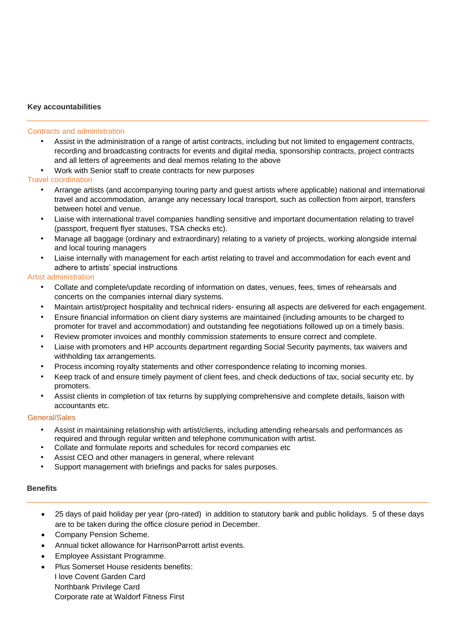## **Key accountabilities**

#### Contracts and administration

- Assist in the administration of a range of artist contracts, including but not limited to engagement contracts, recording and broadcasting contracts for events and digital media, sponsorship contracts, project contracts and all letters of agreements and deal memos relating to the above
- Work with Senior staff to create contracts for new purposes

### Travel coordination

- Arrange artists (and accompanying touring party and guest artists where applicable) national and international travel and accommodation, arrange any necessary local transport, such as collection from airport, transfers between hotel and venue.
- Liaise with international travel companies handling sensitive and important documentation relating to travel (passport, frequent flyer statuses, TSA checks etc).
- Manage all baggage (ordinary and extraordinary) relating to a variety of projects, working alongside internal and local touring managers
- Liaise internally with management for each artist relating to travel and accommodation for each event and adhere to artists' special instructions

### Artist administration

- Collate and complete/update recording of information on dates, venues, fees, times of rehearsals and concerts on the companies internal diary systems.
- Maintain artist/project hospitality and technical riders- ensuring all aspects are delivered for each engagement.
- Ensure financial information on client diary systems are maintained (including amounts to be charged to promoter for travel and accommodation) and outstanding fee negotiations followed up on a timely basis.
- Review promoter invoices and monthly commission statements to ensure correct and complete.
- Liaise with promoters and HP accounts department regarding Social Security payments, tax waivers and withholding tax arrangements.
- Process incoming royalty statements and other correspondence relating to incoming monies.
- Keep track of and ensure timely payment of client fees, and check deductions of tax, social security etc. by promoters.
- Assist clients in completion of tax returns by supplying comprehensive and complete details, liaison with accountants etc.

### General/Sales

- Assist in maintaining relationship with artist/clients, including attending rehearsals and performances as required and through regular written and telephone communication with artist.
- Collate and formulate reports and schedules for record companies etc
- Assist CEO and other managers in general, where relevant
- Support management with briefings and packs for sales purposes.

### **Benefits**

- 25 days of paid holiday per year (pro-rated) in addition to statutory bank and public holidays. 5 of these days are to be taken during the office closure period in December.
- Company Pension Scheme.
- Annual ticket allowance for HarrisonParrott artist events.
- Employee Assistant Programme.
- Plus Somerset House residents benefits: I love Covent Garden Card Northbank Privilege Card Corporate rate at Waldorf Fitness First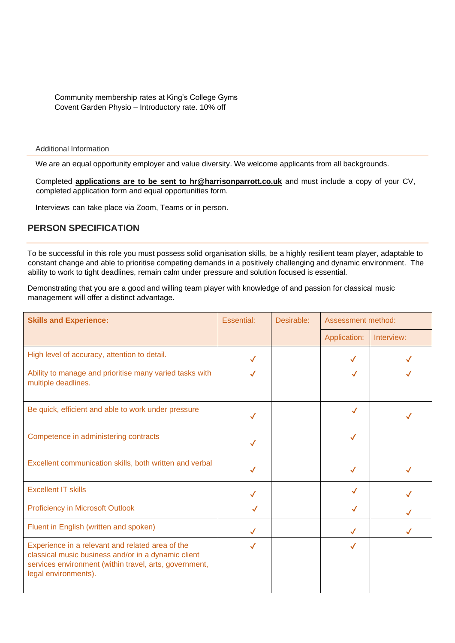Community membership rates at King's College Gyms Covent Garden Physio – Introductory rate. 10% off

Additional Information

We are an equal opportunity employer and value diversity. We welcome applicants from all backgrounds.

Completed **applications are to be sent to [hr@harrisonparrott.co.uk](mailto:hr@harrisonparrott.co.uk)** and must include a copy of your CV, completed application form and equal opportunities form.

Interviews can take place via Zoom, Teams or in person.

# **PERSON SPECIFICATION**

To be successful in this role you must possess solid organisation skills, be a highly resilient team player, adaptable to constant change and able to prioritise competing demands in a positively challenging and dynamic environment. The ability to work to tight deadlines, remain calm under pressure and solution focused is essential.

Demonstrating that you are a good and willing team player with knowledge of and passion for classical music management will offer a distinct advantage.

| <b>Skills and Experience:</b>                                                                                                                                                             | Essential:   | Desirable: | Assessment method: |            |
|-------------------------------------------------------------------------------------------------------------------------------------------------------------------------------------------|--------------|------------|--------------------|------------|
|                                                                                                                                                                                           |              |            | Application:       | Interview: |
| High level of accuracy, attention to detail.                                                                                                                                              | $\checkmark$ |            | $\checkmark$       |            |
| Ability to manage and prioritise many varied tasks with<br>multiple deadlines.                                                                                                            | ✓            |            | $\checkmark$       |            |
| Be quick, efficient and able to work under pressure                                                                                                                                       | $\checkmark$ |            | $\checkmark$       |            |
| Competence in administering contracts                                                                                                                                                     | ✓            |            | ✓                  |            |
| Excellent communication skills, both written and verbal                                                                                                                                   |              |            | ✓                  |            |
| <b>Excellent IT skills</b>                                                                                                                                                                | ✓            |            | $\checkmark$       |            |
| <b>Proficiency in Microsoft Outlook</b>                                                                                                                                                   | $\checkmark$ |            | $\checkmark$       |            |
| Fluent in English (written and spoken)                                                                                                                                                    | $\checkmark$ |            | $\checkmark$       |            |
| Experience in a relevant and related area of the<br>classical music business and/or in a dynamic client<br>services environment (within travel, arts, government,<br>legal environments). | $\checkmark$ |            | $\checkmark$       |            |